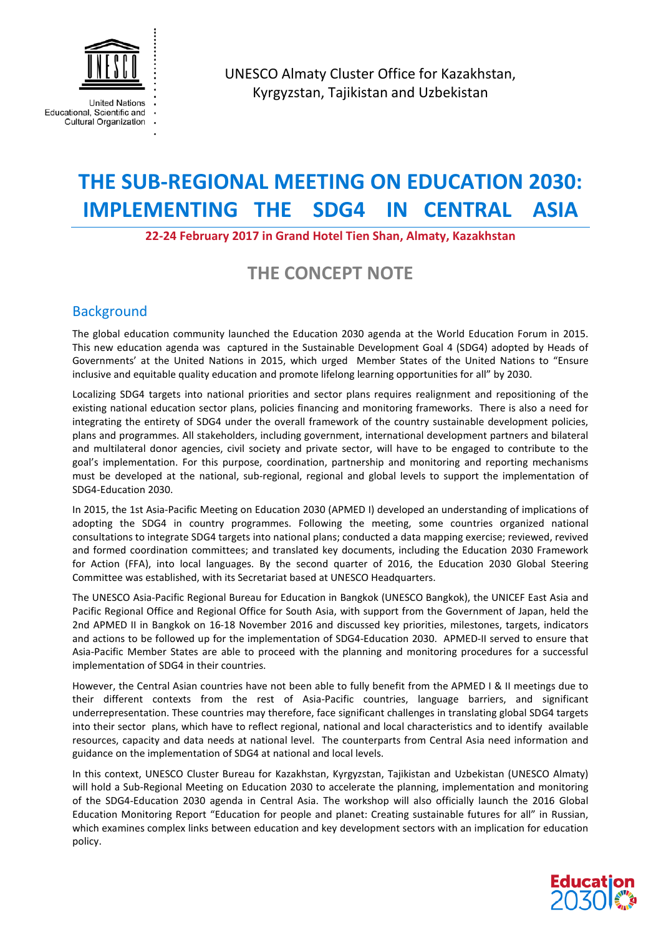

Educational, Scientific and Cultural Organization UNESCO Almaty Cluster Office for Kazakhstan, Kyrgyzstan, Tajikistan and Uzbekistan

# **THE SUB-REGIONAL MEETING ON EDUCATION 2030: IMPLEMENTING THE SDG4 IN CENTRAL ASIA**

## **22-24 February 2017 in Grand Hotel Tien Shan, Almaty, Kazakhstan**

## **THE CONCEPT NOTE**

## **Background**

The global education community launched the Education 2030 agenda at the World Education Forum in 2015. This new education agenda was captured in the Sustainable Development Goal 4 (SDG4) adopted by Heads of Governments' at the United Nations in 2015, which urged Member States of the United Nations to "Ensure inclusive and equitable quality education and promote lifelong learning opportunities for all" by 2030.

Localizing SDG4 targets into national priorities and sector plans requires realignment and repositioning of the existing national education sector plans, policies financing and monitoring frameworks. There is also a need for integrating the entirety of SDG4 under the overall framework of the country sustainable development policies, plans and programmes. All stakeholders, including government, international development partners and bilateral and multilateral donor agencies, civil society and private sector, will have to be engaged to contribute to the goal's implementation. For this purpose, coordination, partnership and monitoring and reporting mechanisms must be developed at the national, sub-regional, regional and global levels to support the implementation of SDG4-Education 2030.

In 2015, the 1st Asia-Pacific Meeting on Education 2030 (APMED I) developed an understanding of implications of adopting the SDG4 in country programmes. Following the meeting, some countries organized national consultations to integrate SDG4 targets into national plans; conducted a data mapping exercise; reviewed, revived and formed coordination committees; and translated key documents, including the Education 2030 Framework for Action (FFA), into local languages. By the second quarter of 2016, the Education 2030 Global Steering Committee was established, with its Secretariat based at UNESCO Headquarters.

The UNESCO Asia-Pacific Regional Bureau for Education in Bangkok (UNESCO Bangkok), the UNICEF East Asia and Pacific Regional Office and Regional Office for South Asia, with support from the Government of Japan, held the 2nd APMED II in Bangkok on 16-18 November 2016 and discussed key priorities, milestones, targets, indicators and actions to be followed up for the implementation of SDG4-Education 2030. APMED-II served to ensure that Asia-Pacific Member States are able to proceed with the planning and monitoring procedures for a successful implementation of SDG4 in their countries.

However, the Central Asian countries have not been able to fully benefit from the APMED I & II meetings due to their different contexts from the rest of Asia-Pacific countries, language barriers, and significant underrepresentation. These countries may therefore, face significant challenges in translating global SDG4 targets into their sector plans, which have to reflect regional, national and local characteristics and to identify available resources, capacity and data needs at national level. The counterparts from Central Asia need information and guidance on the implementation of SDG4 at national and local levels.

In this context, UNESCO Cluster Bureau for Kazakhstan, Kyrgyzstan, Tajikistan and Uzbekistan (UNESCO Almaty) will hold a Sub-Regional Meeting on Education 2030 to accelerate the planning, implementation and monitoring of the SDG4-Education 2030 agenda in Central Asia. The workshop will also officially launch the 2016 Global Education Monitoring Report "Education for people and planet: Creating sustainable futures for all" in Russian, which examines complex links between education and key development sectors with an implication for education policy.

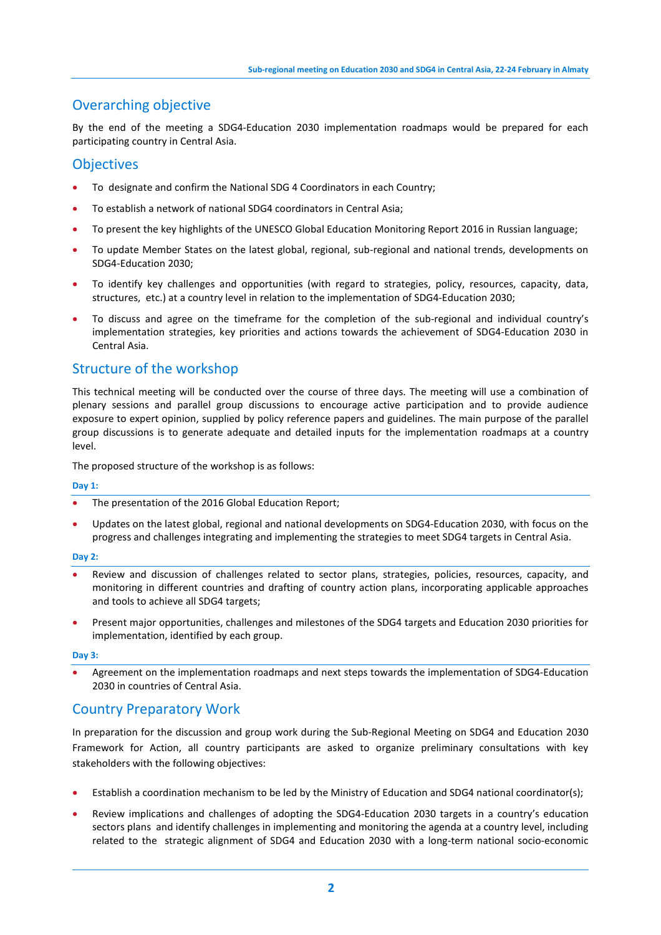## Overarching objective

By the end of the meeting a SDG4-Education 2030 implementation roadmaps would be prepared for each participating country in Central Asia.

## **Objectives**

- To designate and confirm the National SDG 4 Coordinators in each Country;
- To establish a network of national SDG4 coordinators in Central Asia;
- To present the key highlights of the UNESCO Global Education Monitoring Report 2016 in Russian language;
- To update Member States on the latest global, regional, sub-regional and national trends, developments on SDG4-Education 2030;
- To identify key challenges and opportunities (with regard to strategies, policy, resources, capacity, data, structures, etc.) at a country level in relation to the implementation of SDG4-Education 2030;
- To discuss and agree on the timeframe for the completion of the sub-regional and individual country's implementation strategies, key priorities and actions towards the achievement of SDG4-Education 2030 in Central Asia.

## Structure of the workshop

This technical meeting will be conducted over the course of three days. The meeting will use a combination of plenary sessions and parallel group discussions to encourage active participation and to provide audience exposure to expert opinion, supplied by policy reference papers and guidelines. The main purpose of the parallel group discussions is to generate adequate and detailed inputs for the implementation roadmaps at a country level.

The proposed structure of the workshop is as follows:

#### **Day 1:**

- The presentation of the 2016 Global Education Report;
- Updates on the latest global, regional and national developments on SDG4-Education 2030, with focus on the progress and challenges integrating and implementing the strategies to meet SDG4 targets in Central Asia.

#### **Day 2:**

- Review and discussion of challenges related to sector plans, strategies, policies, resources, capacity, and monitoring in different countries and drafting of country action plans, incorporating applicable approaches and tools to achieve all SDG4 targets;
- Present major opportunities, challenges and milestones of the SDG4 targets and Education 2030 priorities for implementation, identified by each group.

#### **Day 3:**

• Agreement on the implementation roadmaps and next steps towards the implementation of SDG4-Education 2030 in countries of Central Asia.

## Country Preparatory Work

In preparation for the discussion and group work during the Sub-Regional Meeting on SDG4 and Education 2030 Framework for Action, all country participants are asked to organize preliminary consultations with key stakeholders with the following objectives:

- Establish a coordination mechanism to be led by the Ministry of Education and SDG4 national coordinator(s);
- Review implications and challenges of adopting the SDG4-Education 2030 targets in a country's education sectors plans and identify challenges in implementing and monitoring the agenda at a country level, including related to the strategic alignment of SDG4 and Education 2030 with a long-term national socio-economic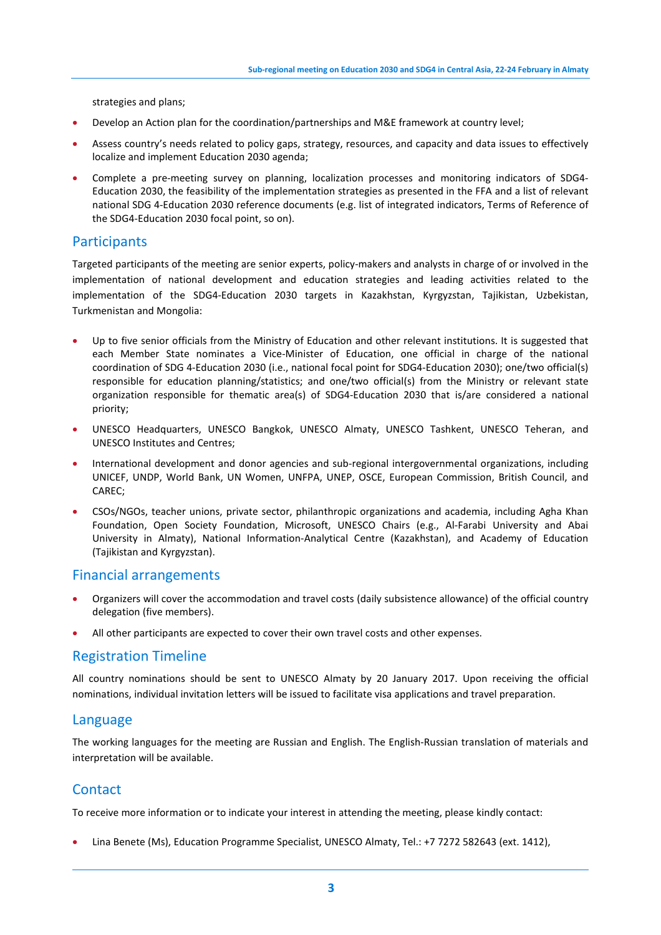strategies and plans;

- Develop an Action plan for the coordination/partnerships and M&E framework at country level;
- Assess country's needs related to policy gaps, strategy, resources, and capacity and data issues to effectively localize and implement Education 2030 agenda;
- Complete a pre-meeting survey on planning, localization processes and monitoring indicators of SDG4- Education 2030, the feasibility of the implementation strategies as presented in the FFA and a list of relevant national SDG 4-Education 2030 reference documents (e.g. list of integrated indicators, Terms of Reference of the SDG4-Education 2030 focal point, so on).

## **Participants**

Targeted participants of the meeting are senior experts, policy-makers and analysts in charge of or involved in the implementation of national development and education strategies and leading activities related to the implementation of the SDG4-Education 2030 targets in Kazakhstan, Kyrgyzstan, Tajikistan, Uzbekistan, Turkmenistan and Mongolia:

- Up to five senior officials from the Ministry of Education and other relevant institutions. It is suggested that each Member State nominates a Vice-Minister of Education, one official in charge of the national coordination of SDG 4-Education 2030 (i.e., national focal point for SDG4-Education 2030); one/two official(s) responsible for education planning/statistics; and one/two official(s) from the Ministry or relevant state organization responsible for thematic area(s) of SDG4-Education 2030 that is/are considered a national priority;
- UNESCO Headquarters, UNESCO Bangkok, UNESCO Almaty, UNESCO Tashkent, UNESCO Teheran, and UNESCO Institutes and Centres;
- International development and donor agencies and sub-regional intergovernmental organizations, including UNICEF, UNDP, World Bank, UN Women, UNFPA, UNEP, OSCE, European Commission, British Council, and CAREC;
- CSOs/NGOs, teacher unions, private sector, philanthropic organizations and academia, including Agha Khan Foundation, Open Society Foundation, Microsoft, UNESCO Chairs (e.g., Al-Farabi University and Abai University in Almaty), National Information-Analytical Centre (Kazakhstan), and Academy of Education (Tajikistan and Kyrgyzstan).

## Financial arrangements

- Organizers will cover the accommodation and travel costs (daily subsistence allowance) of the official country delegation (five members).
- All other participants are expected to cover their own travel costs and other expenses.

## Registration Timeline

All country nominations should be sent to UNESCO Almaty by 20 January 2017. Upon receiving the official nominations, individual invitation letters will be issued to facilitate visa applications and travel preparation.

#### Language

The working languages for the meeting are Russian and English. The English-Russian translation of materials and interpretation will be available.

## **Contact**

To receive more information or to indicate your interest in attending the meeting, please kindly contact:

• Lina Benete (Ms), Education Programme Specialist, UNESCO Almaty, Tel.: +7 7272 582643 (ext. 1412),